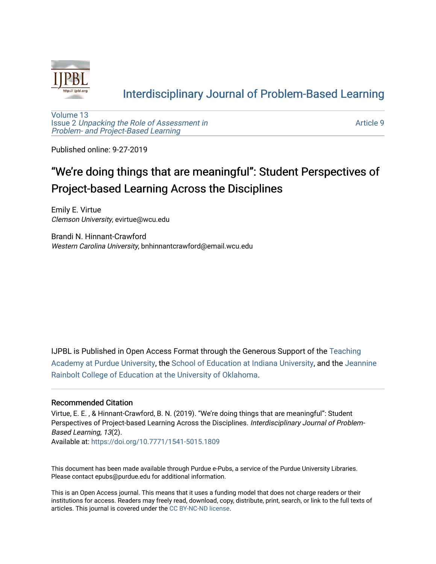

## [Interdisciplinary Journal of Problem-Based Learning](https://docs.lib.purdue.edu/ijpbl)

[Volume 13](https://docs.lib.purdue.edu/ijpbl/vol13) Issue 2 [Unpacking the Role of Assessment in](https://docs.lib.purdue.edu/ijpbl/vol13/iss2)  [Problem- and Project-Based Learning](https://docs.lib.purdue.edu/ijpbl/vol13/iss2)

[Article 9](https://docs.lib.purdue.edu/ijpbl/vol13/iss2/9) 

Published online: 9-27-2019

# "We're doing things that are meaningful": Student P erspectives of Project-based Learning Across the Disciplines

Emily E. Virtue Clemson University, evirtue@wcu.edu

Brandi N. Hinnant-Crawford Western Carolina University, bnhinnantcrawford@email.wcu.edu

IJPBL is Published in Open Access Format through the Generous Support of the [Teaching](https://www.purdue.edu/cie/aboutus/teachingacademy.html) [Academy at Purdue University](https://www.purdue.edu/cie/aboutus/teachingacademy.html), the [School of Education at Indiana University,](https://education.indiana.edu/index.html) and the [Jeannine](http://ou.edu/education) [Rainbolt College of Education at the University of Oklahoma](http://ou.edu/education).

#### Recommended Citation

Virtue, E. E. , & Hinnant-Crawford, B. N. (2019). "We're doing things that are meaningful": Student Perspectives of Project-based Learning Across the Disciplines. Interdisciplinary Journal of Problem-Based Learning, 13(2).

Available at:<https://doi.org/10.7771/1541-5015.1809>

This document has been made available through Purdue e-Pubs, a service of the Purdue University Libraries. Please contact epubs@purdue.edu for additional information.

This is an Open Access journal. This means that it uses a funding model that does not charge readers or their institutions for access. Readers may freely read, download, copy, distribute, print, search, or link to the full texts of articles. This journal is covered under the [CC BY-NC-ND license](https://creativecommons.org/licenses/by-nc-nd/4.0/).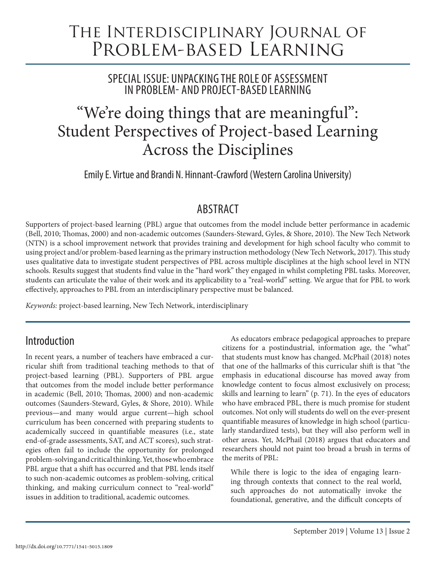# The Interdisciplinary Journal of Problem-based Learning

SPECIAL ISSUE: UNPACKING THE ROLE OF ASSESSMENT IN PROBLEM- AND PROJECT-BASED LEARNING

# "We're doing things that are meaningful": Student Perspectives of Project-based Learning Across the Disciplines

Emily E. Virtue and Brandi N. Hinnant-Crawford (Western Carolina University)

# ABSTRACT

Supporters of project-based learning (PBL) argue that outcomes from the model include better performance in academic (Bell, 2010; Thomas, 2000) and non-academic outcomes (Saunders-Steward, Gyles, & Shore, 2010). The New Tech Network (NTN) is a school improvement network that provides training and development for high school faculty who commit to using project and/or problem-based learning as the primary instruction methodology (New Tech Network, 2017). This study uses qualitative data to investigate student perspectives of PBL across multiple disciplines at the high school level in NTN schools. Results suggest that students find value in the "hard work" they engaged in whilst completing PBL tasks. Moreover, students can articulate the value of their work and its applicability to a "real-world" setting. We argue that for PBL to work effectively, approaches to PBL from an interdisciplinary perspective must be balanced.

*Keywords:* project-based learning, New Tech Network, interdisciplinary

## Introduction

In recent years, a number of teachers have embraced a curricular shift from traditional teaching methods to that of project-based learning (PBL). Supporters of PBL argue that outcomes from the model include better performance in academic (Bell, 2010; Thomas, 2000) and non-academic outcomes (Saunders-Steward, Gyles, & Shore, 2010). While previous—and many would argue current—high school curriculum has been concerned with preparing students to academically succeed in quantifiable measures (i.e., state end-of-grade assessments, SAT, and ACT scores), such strategies often fail to include the opportunity for prolonged problem-solving and critical thinking. Yet, those who embrace PBL argue that a shift has occurred and that PBL lends itself to such non-academic outcomes as problem-solving, critical thinking, and making curriculum connect to "real-world" issues in addition to traditional, academic outcomes.

As educators embrace pedagogical approaches to prepare citizens for a postindustrial, information age, the "what" that students must know has changed. McPhail (2018) notes that one of the hallmarks of this curricular shift is that "the emphasis in educational discourse has moved away from knowledge content to focus almost exclusively on process; skills and learning to learn" (p. 71). In the eyes of educators who have embraced PBL, there is much promise for student outcomes. Not only will students do well on the ever-present quantifiable measures of knowledge in high school (particularly standardized tests), but they will also perform well in other areas. Yet, McPhail (2018) argues that educators and researchers should not paint too broad a brush in terms of the merits of PBL:

While there is logic to the idea of engaging learning through contexts that connect to the real world, such approaches do not automatically invoke the foundational, generative, and the difficult concepts of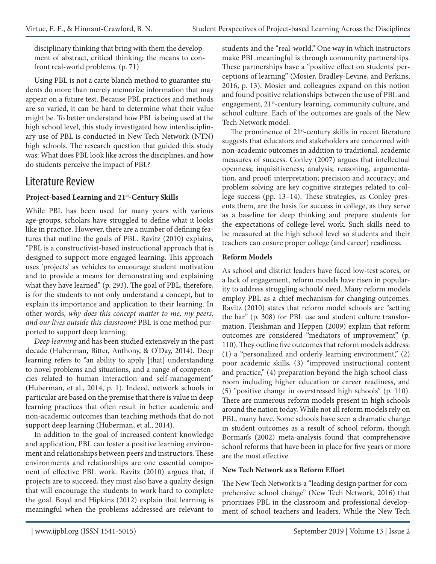disciplinary thinking that bring with them the development of abstract, critical thinking; the means to confront real-world problems. (p. 71)

Using PBL is not a carte blanch method to guarantee students do more than merely memorize information that may appear on a future test. Because PBL practices and methods are so varied, it can be hard to determine what their value might be. To better understand how PBL is being used at the high school level, this study investigated how interdisciplinary use of PBL is conducted in New Tech Network (NTN) high schools. The research question that guided this study was: What does PBL look like across the disciplines, and how do students perceive the impact of PBL?

### Literature Review

#### **Project-based Learning and 21st-Century Skills**

While PBL has been used for many years with various age-groups, scholars have struggled to define what it looks like in practice. However, there are a number of defining features that outline the goals of PBL. Ravitz (2010) explains, "PBL is a constructivist-based instructional approach that is designed to support more engaged learning. This approach uses 'projects' as vehicles to encourage student motivation and to provide a means for demonstrating and explaining what they have learned" (p. 293). The goal of PBL, therefore, is for the students to not only understand a concept, but to explain its importance and application to their learning. In other words, *why does this concept matter to me, my peers, and our lives outside this classroom?* PBL is one method purported to support deep learning.

*Deep learning* and has been studied extensively in the past decade (Huberman, Bitter, Anthony, & O'Day, 2014). Deep learning refers to "an ability to apply [that] understanding to novel problems and situations, and a range of competencies related to human interaction and self-management" (Huberman, et al., 2014, p. 1). Indeed, network schools in particular are based on the premise that there is value in deep learning practices that often result in better academic and non-academic outcomes than teaching methods that do not support deep learning (Huberman, et al., 2014).

In addition to the goal of increased content knowledge and application, PBL can foster a positive learning environment and relationships between peers and instructors. These environments and relationships are one essential component of effective PBL work. Ravitz (2010) argues that, if projects are to succeed, they must also have a quality design that will encourage the students to work hard to complete the goal. Boyd and Hipkins (2012) explain that learning is meaningful when the problems addressed are relevant to

students and the "real-world." One way in which instructors make PBL meaningful is through community partnerships. These partnerships have a "positive effect on students' perceptions of learning" (Mosier, Bradley-Levine, and Perkins, 2016, p. 13). Mosier and colleagues expand on this notion and found positive relationships between the use of PBL and engagement, 21<sup>st</sup>-century learning, community culture, and school culture. Each of the outcomes are goals of the New Tech Network model.

The prominence of  $21<sup>st</sup>$ -century skills in recent literature suggests that educators and stakeholders are concerned with non-academic outcomes in addition to traditional, academic measures of success. Conley (2007) argues that intellectual openness; inquisitiveness; analysis; reasoning, argumentation, and proof; interpretation; precision and accuracy; and problem solving are key cognitive strategies related to college success (pp. 13–14). These strategies, as Conley presents them, are the basis for success in college, as they serve as a baseline for deep thinking and prepare students for the expectations of college-level work. Such skills need to be measured at the high school level so students and their teachers can ensure proper college (and career) readiness.

#### **Reform Models**

As school and district leaders have faced low-test scores, or a lack of engagement, reform models have risen in popularity to address struggling schools' need. Many reform models employ PBL as a chief mechanism for changing outcomes. Ravitz (2010) states that reform model schools are "setting the bar" (p. 308) for PBL use and student culture transformation. Fleishman and Heppen (2009) explain that reform outcomes are considered "mediators of improvement" (p. 110). They outline five outcomes that reform models address: (1) a "personalized and orderly learning environment," (2) poor academic skills, (3) "improved instructional content and practice," (4) preparation beyond the high school classroom including higher education or career readiness, and (5) "positive change in overstressed high schools" (p. 110). There are numerous reform models present in high schools around the nation today. While not all reform models rely on PBL, many have. Some schools have seen a dramatic change in student outcomes as a result of school reform, though Borman's (2002) meta-analysis found that comprehensive school reforms that have been in place for five years or more are the most effective.

#### **New Tech Network as a Reform Effort**

The New Tech Network is a "leading design partner for comprehensive school change" (New Tech Network, 2016) that prioritizes PBL in the classroom and professional development of school teachers and leaders. While the New Tech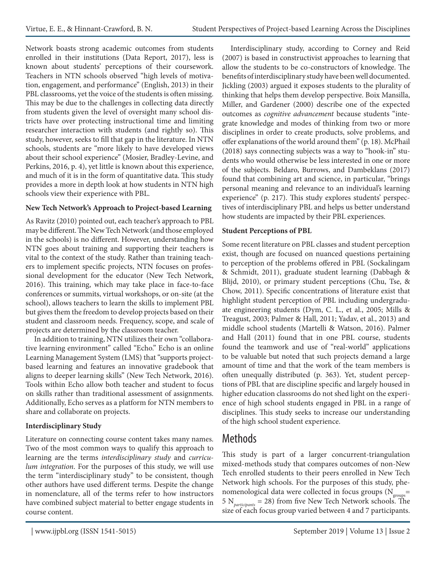Network boasts strong academic outcomes from students enrolled in their institutions (Data Report, 2017), less is known about students' perceptions of their coursework. Teachers in NTN schools observed "high levels of motivation, engagement, and performance" (English, 2013) in their PBL classrooms, yet the voice of the students is often missing. This may be due to the challenges in collecting data directly from students given the level of oversight many school districts have over protecting instructional time and limiting researcher interaction with students (and rightly so). This study, however, seeks to fill that gap in the literature. In NTN schools, students are "more likely to have developed views about their school experience" (Mosier, Bradley-Levine, and Perkins, 2016, p. 4), yet little is known about this experience, and much of it is in the form of quantitative data. This study provides a more in depth look at how students in NTN high schools view their experience with PBL.

#### **New Tech Network's Approach to Project-based Learning**

As Ravitz (2010) pointed out, each teacher's approach to PBL may be different. The New Tech Network (and those employed in the schools) is no different. However, understanding how NTN goes about training and supporting their teachers is vital to the context of the study. Rather than training teachers to implement specific projects, NTN focuses on professional development for the educator (New Tech Network, 2016). This training, which may take place in face-to-face conferences or summits, virtual workshops, or on-site (at the school), allows teachers to learn the skills to implement PBL but gives them the freedom to develop projects based on their student and classroom needs. Frequency, scope, and scale of projects are determined by the classroom teacher.

In addition to training, NTN utilizes their own "collaborative learning environment" called "Echo." Echo is an online Learning Management System (LMS) that "supports projectbased learning and features an innovative gradebook that aligns to deeper learning skills" (New Tech Network, 2016). Tools within Echo allow both teacher and student to focus on skills rather than traditional assessment of assignments. Additionally, Echo serves as a platform for NTN members to share and collaborate on projects.

#### **Interdisciplinary Study**

Literature on connecting course content takes many names. Two of the most common ways to qualify this approach to learning are the terms *interdisciplinary study* and *curriculum integration*. For the purposes of this study, we will use the term "interdisciplinary study" to be consistent, though other authors have used different terms. Despite the change in nomenclature, all of the terms refer to how instructors have combined subject material to better engage students in course content.

Interdisciplinary study, according to Corney and Reid (2007) is based in constructivist approaches to learning that allow the students to be co-constructors of knowledge. The benefits of interdisciplinary study have been well documented. Jickling (2003) argued it exposes students to the plurality of thinking that helps them develop perspective. Boix Mansilla, Miller, and Gardener (2000) describe one of the expected outcomes as *cognitive advancement* because students "integrate knowledge and modes of thinking from two or more disciplines in order to create products, solve problems, and offer explanations of the world around them" (p. 18). McPhail (2018) says connecting subjects was a way to "hook-in" students who would otherwise be less interested in one or more of the subjects. Beldaro, Burrows, and Dambeklans (2017) found that combining art and science, in particular, "brings personal meaning and relevance to an individual's learning experience" (p. 217). This study explores students' perspectives of interdisciplinary PBL and helps us better understand how students are impacted by their PBL experiences.

#### **Student Perceptions of PBL**

Some recent literature on PBL classes and student perception exist, though are focused on nuanced questions pertaining to perception of the problems offered in PBL (Sockalingam & Schmidt, 2011), graduate student learning (Dabbagh & Blijd, 2010), or primary student perceptions (Chu, Tse, & Chow, 2011). Specific concentrations of literature exist that highlight student perception of PBL including undergraduate engineering students (Dym, C. L., et al., 2005; Mills & Treagust, 2003; Palmer & Hall, 2011; Yadav, et al., 2013) and middle school students (Martelli & Watson, 2016). Palmer and Hall (2011) found that in one PBL course, students found the teamwork and use of "real-world" applications to be valuable but noted that such projects demand a large amount of time and that the work of the team members is often unequally distributed (p. 363). Yet, student perceptions of PBL that are discipline specific and largely housed in higher education classrooms do not shed light on the experience of high school students engaged in PBL in a range of disciplines. This study seeks to increase our understanding of the high school student experience.

### Methods

This study is part of a larger concurrent-triangulation mixed-methods study that compares outcomes of non-New Tech enrolled students to their peers enrolled in New Tech Network high schools. For the purposes of this study, phenomenological data were collected in focus groups ( $N_{\text{groups}}$ = 5 N*participants* = 28) from five New Tech Network schools. The size of each focus group varied between 4 and 7 participants.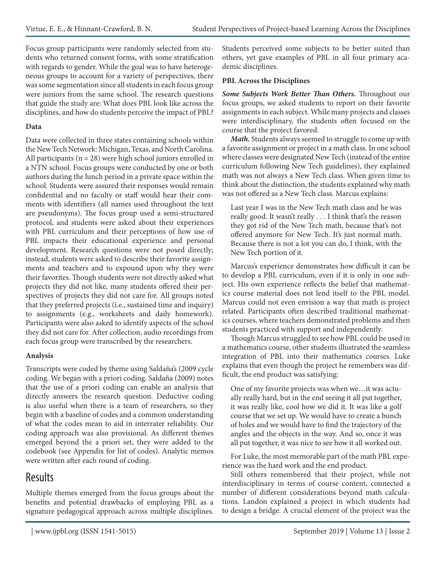Focus group participants were randomly selected from students who returned consent forms, with some stratification with regards to gender. While the goal was to have heterogeneous groups to account for a variety of perspectives, there was some segmentation since all students in each focus group were juniors from the same school. The research questions that guide the study are: What does PBL look like across the disciplines, and how do students perceive the impact of PBL?

#### **Data**

Data were collected in three states containing schools within the New Tech Network: Michigan, Texas, and North Carolina. All participants ( $n = 28$ ) were high school juniors enrolled in a NTN school. Focus groups were conducted by one or both authors during the lunch period in a private space within the school. Students were assured their responses would remain confidential and no faculty or staff would hear their comments with identifiers (all names used throughout the text are pseudonyms). The focus group used a semi-structured protocol, and students were asked about their experiences with PBL curriculum and their perceptions of how use of PBL impacts their educational experience and personal development. Research questions were not posed directly; instead, students were asked to describe their favorite assignments and teachers and to expound upon why they were their favorites. Though students were not directly asked what projects they did not like, many students offered their perspectives of projects they did not care for. All groups noted that they preferred projects (i.e., sustained time and inquiry) to assignments (e.g., worksheets and daily homework). Participants were also asked to identify aspects of the school they did not care for. After collection, audio recordings from each focus group were transcribed by the researchers.

#### **Analysis**

Transcripts were coded by theme using Saldaña's (2009 cycle coding. We began with a priori coding. Saldaña (2009) notes that the use of a priori coding can enable an analysis that directly answers the research question. Deductive coding is also useful when there is a team of researchers, so they begin with a baseline of codes and a common understanding of what the codes mean to aid in interrater reliability. Our coding approach was also provisional. As different themes emerged beyond the a priori set, they were added to the codebook (see Appendix for list of codes). Analytic memos were written after each round of coding.

### Results

Multiple themes emerged from the focus groups about the benefits and potential drawbacks of employing PBL as a signature pedagogical approach across multiple disciplines.

Students perceived some subjects to be better suited than others, yet gave examples of PBL in all four primary academic disciplines.

#### **PBL Across the Disciplines**

*Some Subjects Work Better Than Others.* Throughout our focus groups, we asked students to report on their favorite assignments in each subject. While many projects and classes were interdisciplinary, the students often focused on the course that the project favored.

*Math.* Students always seemed to struggle to come up with a favorite assignment or project in a math class. In one school where classes were designated New Tech (instead of the entire curriculum following New Tech guidelines), they explained math was not always a New Tech class. When given time to think about the distinction, the students explained why math was not offered as a New Tech class. Marcus explains:

Last year I was in the New Tech math class and he was really good. It wasn't really . . . I think that's the reason they got rid of the New Tech math, because that's not offered anymore for New Tech. It's just normal math. Because there is not a lot you can do, I think, with the New Tech portion of it.

Marcus's experience demonstrates how difficult it can be to develop a PBL curriculum, even if it is only in one subject. His own experience reflects the belief that mathematics course material does not lend itself to the PBL model. Marcus could not even envision a way that math is project related. Participants often described traditional mathematics courses, where teachers demonstrated problems and then students practiced with support and independently.

Though Marcus struggled to see how PBL could be used in a mathematics course, other students illustrated the seamless integration of PBL into their mathematics courses. Luke explains that even though the project he remembers was difficult, the end product was satisfying:

One of my favorite projects was when we…it was actually really hard, but in the end seeing it all put together, it was really like, cool how we did it. It was like a golf course that we set up. We would have to create a bunch of holes and we would have to find the trajectory of the angles and the objects in the way. And so, once it was all put together, it was nice to see how it all worked out.

For Luke, the most memorable part of the math PBL experience was the hard work and the end product.

Still others remembered that their project, while not interdisciplinary in terms of course content, connected a number of different considerations beyond math calculations. Landon explained a project in which students had to design a bridge. A crucial element of the project was the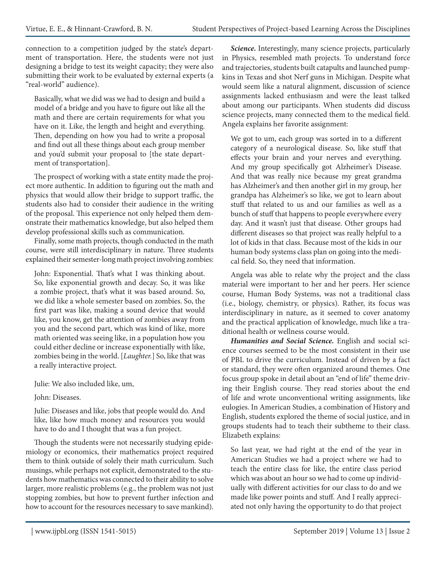connection to a competition judged by the state's department of transportation. Here, the students were not just designing a bridge to test its weight capacity; they were also submitting their work to be evaluated by external experts (a "real-world" audience).

Basically, what we did was we had to design and build a model of a bridge and you have to figure out like all the math and there are certain requirements for what you have on it. Like, the length and height and everything. Then, depending on how you had to write a proposal and find out all these things about each group member and you'd submit your proposal to [the state department of transportation].

The prospect of working with a state entity made the project more authentic. In addition to figuring out the math and physics that would allow their bridge to support traffic, the students also had to consider their audience in the writing of the proposal. This experience not only helped them demonstrate their mathematics knowledge, but also helped them develop professional skills such as communication.

Finally, some math projects, though conducted in the math course, were still interdisciplinary in nature. Three students explained their semester-long math project involving zombies:

John: Exponential. That's what I was thinking about. So, like exponential growth and decay. So, it was like a zombie project, that's what it was based around. So, we did like a whole semester based on zombies. So, the first part was like, making a sound device that would like, you know, get the attention of zombies away from you and the second part, which was kind of like, more math oriented was seeing like, in a population how you could either decline or increase exponentially with like, zombies being in the world. [*Laughter.*] So, like that was a really interactive project.

Julie: We also included like, um,

John: Diseases.

Julie: Diseases and like, jobs that people would do. And like, like how much money and resources you would have to do and I thought that was a fun project.

Though the students were not necessarily studying epidemiology or economics, their mathematics project required them to think outside of solely their math curriculum. Such musings, while perhaps not explicit, demonstrated to the students how mathematics was connected to their ability to solve larger, more realistic problems (e.g., the problem was not just stopping zombies, but how to prevent further infection and how to account for the resources necessary to save mankind).

*Science.* Interestingly, many science projects, particularly in Physics, resembled math projects. To understand force and trajectories, students built catapults and launched pumpkins in Texas and shot Nerf guns in Michigan. Despite what would seem like a natural alignment, discussion of science assignments lacked enthusiasm and were the least talked about among our participants. When students did discuss science projects, many connected them to the medical field. Angela explains her favorite assignment:

We got to um, each group was sorted in to a different category of a neurological disease. So, like stuff that effects your brain and your nerves and everything. And my group specifically got Alzheimer's Disease. And that was really nice because my great grandma has Alzheimer's and then another girl in my group, her grandpa has Alzheimer's so like, we got to learn about stuff that related to us and our families as well as a bunch of stuff that happens to people everywhere every day. And it wasn't just that disease. Other groups had different diseases so that project was really helpful to a lot of kids in that class. Because most of the kids in our human body systems class plan on going into the medical field. So, they need that information.

Angela was able to relate why the project and the class material were important to her and her peers. Her science course, Human Body Systems, was not a traditional class (i.e., biology, chemistry, or physics). Rather, its focus was interdisciplinary in nature, as it seemed to cover anatomy and the practical application of knowledge, much like a traditional health or wellness course would.

*Humanities and Social Science.* English and social science courses seemed to be the most consistent in their use of PBL to drive the curriculum. Instead of driven by a fact or standard, they were often organized around themes. One focus group spoke in detail about an "end of life" theme driving their English course. They read stories about the end of life and wrote unconventional writing assignments, like eulogies. In American Studies, a combination of History and English, students explored the theme of social justice, and in groups students had to teach their subtheme to their class. Elizabeth explains:

So last year, we had right at the end of the year in American Studies we had a project where we had to teach the entire class for like, the entire class period which was about an hour so we had to come up individually with different activities for our class to do and we made like power points and stuff. And I really appreciated not only having the opportunity to do that project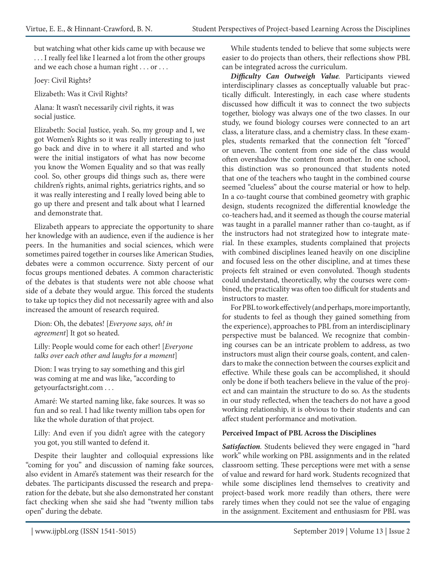but watching what other kids came up with because we . . . I really feel like I learned a lot from the other groups and we each chose a human right . . . or . . .

Joey: Civil Rights?

Elizabeth: Was it Civil Rights?

Alana: It wasn't necessarily civil rights, it was social justice.

Elizabeth: Social Justice, yeah. So, my group and I, we got Women's Rights so it was really interesting to just go back and dive in to where it all started and who were the initial instigators of what has now become you know the Women Equality and so that was really cool. So, other groups did things such as, there were children's rights, animal rights, geriatrics rights, and so it was really interesting and I really loved being able to go up there and present and talk about what I learned and demonstrate that.

Elizabeth appears to appreciate the opportunity to share her knowledge with an audience, even if the audience is her peers. In the humanities and social sciences, which were sometimes paired together in courses like American Studies, debates were a common occurrence. Sixty percent of our focus groups mentioned debates. A common characteristic of the debates is that students were not able choose what side of a debate they would argue. This forced the students to take up topics they did not necessarily agree with and also increased the amount of research required.

Dion: Oh, the debates! [*Everyone says, oh! in agreement*] It got so heated.

Lilly: People would come for each other! [*Everyone talks over each other and laughs for a moment*]

Dion: I was trying to say something and this girl was coming at me and was like, "according to getyourfactsright.com . . .

Amaré: We started naming like, fake sources. It was so fun and so real. I had like twenty million tabs open for like the whole duration of that project.

Lilly: And even if you didn't agree with the category you got, you still wanted to defend it.

Despite their laughter and colloquial expressions like "coming for you" and discussion of naming fake sources, also evident in Amaré's statement was their research for the debates. The participants discussed the research and preparation for the debate, but she also demonstrated her constant fact checking when she said she had "twenty million tabs open" during the debate.

While students tended to believe that some subjects were easier to do projects than others, their reflections show PBL can be integrated across the curriculum.

*Difficulty Can Outweigh Value.* Participants viewed interdisciplinary classes as conceptually valuable but practically difficult. Interestingly, in each case where students discussed how difficult it was to connect the two subjects together, biology was always one of the two classes. In our study, we found biology courses were connected to an art class, a literature class, and a chemistry class. In these examples, students remarked that the connection felt "forced" or uneven. The content from one side of the class would often overshadow the content from another. In one school, this distinction was so pronounced that students noted that one of the teachers who taught in the combined course seemed "clueless" about the course material or how to help. In a co-taught course that combined geometry with graphic design, students recognized the differential knowledge the co-teachers had, and it seemed as though the course material was taught in a parallel manner rather than co-taught, as if the instructors had not strategized how to integrate material. In these examples, students complained that projects with combined disciplines leaned heavily on one discipline and focused less on the other discipline, and at times these projects felt strained or even convoluted. Though students could understand, theoretically, why the courses were combined, the practicality was often too difficult for students and instructors to master.

For PBL to work effectively (and perhaps, more importantly, for students to feel as though they gained something from the experience), approaches to PBL from an interdisciplinary perspective must be balanced. We recognize that combining courses can be an intricate problem to address, as two instructors must align their course goals, content, and calendars to make the connection between the courses explicit and effective. While these goals can be accomplished, it should only be done if both teachers believe in the value of the project and can maintain the structure to do so. As the students in our study reflected, when the teachers do not have a good working relationship, it is obvious to their students and can affect student performance and motivation.

#### **Perceived Impact of PBL Across the Disciplines**

*Satisfaction.* Students believed they were engaged in "hard work" while working on PBL assignments and in the related classroom setting. These perceptions were met with a sense of value and reward for hard work. Students recognized that while some disciplines lend themselves to creativity and project-based work more readily than others, there were rarely times when they could not see the value of engaging in the assignment. Excitement and enthusiasm for PBL was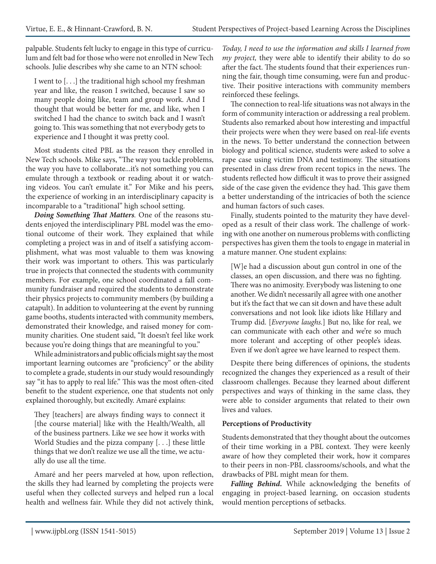palpable. Students felt lucky to engage in this type of curriculum and felt bad for those who were not enrolled in New Tech schools. Julie describes why she came to an NTN school:

I went to [. . .] the traditional high school my freshman year and like, the reason I switched, because I saw so many people doing like, team and group work. And I thought that would be better for me, and like, when I switched I had the chance to switch back and I wasn't going to. This was something that not everybody gets to experience and I thought it was pretty cool.

Most students cited PBL as the reason they enrolled in New Tech schools. Mike says, "The way you tackle problems, the way you have to collaborate...it's not something you can emulate through a textbook or reading about it or watching videos. You can't emulate it." For Mike and his peers, the experience of working in an interdisciplinary capacity is incomparable to a "traditional" high school setting.

*Doing Something That Matters.* One of the reasons students enjoyed the interdisciplinary PBL model was the emotional outcome of their work. They explained that while completing a project was in and of itself a satisfying accomplishment, what was most valuable to them was knowing their work was important to others. This was particularly true in projects that connected the students with community members. For example, one school coordinated a fall community fundraiser and required the students to demonstrate their physics projects to community members (by building a catapult). In addition to volunteering at the event by running game booths, students interacted with community members, demonstrated their knowledge, and raised money for community charities. One student said, "It doesn't feel like work because you're doing things that are meaningful to you."

While administrators and public officials might say the most important learning outcomes are "proficiency" or the ability to complete a grade, students in our study would resoundingly say "it has to apply to real life." This was the most often-cited benefit to the student experience, one that students not only explained thoroughly, but excitedly. Amaré explains:

They [teachers] are always finding ways to connect it [the course material] like with the Health/Wealth, all of the business partners. Like we see how it works with World Studies and the pizza company [. . .] these little things that we don't realize we use all the time, we actually do use all the time.

Amaré and her peers marveled at how, upon reflection, the skills they had learned by completing the projects were useful when they collected surveys and helped run a local health and wellness fair. While they did not actively think, *Today, I need to use the information and skills I learned from my project,* they were able to identify their ability to do so after the fact. The students found that their experiences running the fair, though time consuming, were fun and productive. Their positive interactions with community members reinforced these feelings.

The connection to real-life situations was not always in the form of community interaction or addressing a real problem. Students also remarked about how interesting and impactful their projects were when they were based on real-life events in the news. To better understand the connection between biology and political science, students were asked to solve a rape case using victim DNA and testimony. The situations presented in class drew from recent topics in the news. The students reflected how difficult it was to prove their assigned side of the case given the evidence they had. This gave them a better understanding of the intricacies of both the science and human factors of such cases.

Finally, students pointed to the maturity they have developed as a result of their class work. The challenge of working with one another on numerous problems with conflicting perspectives has given them the tools to engage in material in a mature manner. One student explains:

[W]e had a discussion about gun control in one of the classes, an open discussion, and there was no fighting. There was no animosity. Everybody was listening to one another. We didn't necessarily all agree with one another but it's the fact that we can sit down and have these adult conversations and not look like idiots like Hillary and Trump did. [*Everyone laughs.*] But no, like for real, we can communicate with each other and we're so much more tolerant and accepting of other people's ideas. Even if we don't agree we have learned to respect them.

Despite there being differences of opinions, the students recognized the changes they experienced as a result of their classroom challenges. Because they learned about different perspectives and ways of thinking in the same class, they were able to consider arguments that related to their own lives and values.

#### **Perceptions of Productivity**

Students demonstrated that they thought about the outcomes of their time working in a PBL context. They were keenly aware of how they completed their work, how it compares to their peers in non-PBL classrooms/schools, and what the drawbacks of PBL might mean for them.

*Falling Behind.* While acknowledging the benefits of engaging in project-based learning, on occasion students would mention perceptions of setbacks.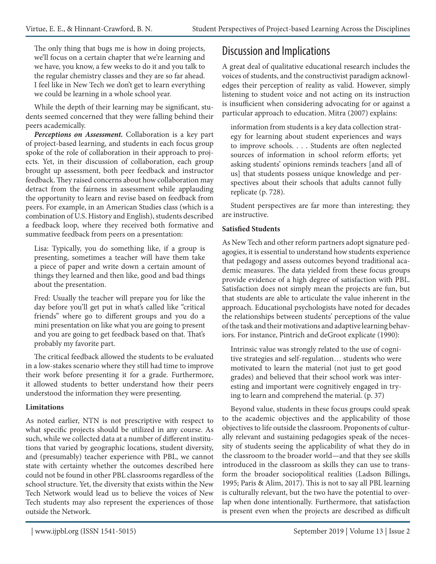The only thing that bugs me is how in doing projects, we'll focus on a certain chapter that we're learning and we have, you know, a few weeks to do it and you talk to the regular chemistry classes and they are so far ahead. I feel like in New Tech we don't get to learn everything we could be learning in a whole school year.

While the depth of their learning may be significant, students seemed concerned that they were falling behind their peers academically.

*Perceptions on Assessment.* Collaboration is a key part of project-based learning, and students in each focus group spoke of the role of collaboration in their approach to projects. Yet, in their discussion of collaboration, each group brought up assessment, both peer feedback and instructor feedback. They raised concerns about how collaboration may detract from the fairness in assessment while applauding the opportunity to learn and revise based on feedback from peers. For example, in an American Studies class (which is a combination of U.S. History and English), students described a feedback loop, where they received both formative and summative feedback from peers on a presentation:

Lisa: Typically, you do something like, if a group is presenting, sometimes a teacher will have them take a piece of paper and write down a certain amount of things they learned and then like, good and bad things about the presentation.

Fred: Usually the teacher will prepare you for like the day before you'll get put in what's called like "critical friends" where go to different groups and you do a mini presentation on like what you are going to present and you are going to get feedback based on that. That's probably my favorite part.

The critical feedback allowed the students to be evaluated in a low-stakes scenario where they still had time to improve their work before presenting it for a grade. Furthermore, it allowed students to better understand how their peers understood the information they were presenting.

#### **Limitations**

As noted earlier, NTN is not prescriptive with respect to what specific projects should be utilized in any course. As such, while we collected data at a number of different institutions that varied by geographic locations, student diversity, and (presumably) teacher experience with PBL, we cannot state with certainty whether the outcomes described here could not be found in other PBL classrooms regardless of the school structure. Yet, the diversity that exists within the New Tech Network would lead us to believe the voices of New Tech students may also represent the experiences of those outside the Network.

# Discussion and Implications

A great deal of qualitative educational research includes the voices of students, and the constructivist paradigm acknowledges their perception of reality as valid. However, simply listening to student voice and not acting on its instruction is insufficient when considering advocating for or against a particular approach to education. Mitra (2007) explains:

information from students is a key data collection strategy for learning about student experiences and ways to improve schools. . . . Students are often neglected sources of information in school reform efforts; yet asking students' opinions reminds teachers [and all of us] that students possess unique knowledge and perspectives about their schools that adults cannot fully replicate (p. 728).

Student perspectives are far more than interesting; they are instructive.

#### **Satisfied Students**

As New Tech and other reform partners adopt signature pedagogies, it is essential to understand how students experience that pedagogy and assess outcomes beyond traditional academic measures. The data yielded from these focus groups provide evidence of a high degree of satisfaction with PBL. Satisfaction does not simply mean the projects are fun, but that students are able to articulate the value inherent in the approach. Educational psychologists have noted for decades the relationships between students' perceptions of the value of the task and their motivations and adaptive learning behaviors. For instance, Pintrich and deGroot explicate (1990):

Intrinsic value was strongly related to the use of cognitive strategies and self-regulation… students who were motivated to learn the material (not just to get good grades) and believed that their school work was interesting and important were cognitively engaged in trying to learn and comprehend the material. (p. 37)

Beyond value, students in these focus groups could speak to the academic objectives and the applicability of those objectives to life outside the classroom. Proponents of culturally relevant and sustaining pedagogies speak of the necessity of students seeing the applicability of what they do in the classroom to the broader world—and that they see skills introduced in the classroom as skills they can use to transform the broader sociopolitical realities (Ladson Billings, 1995; Paris & Alim, 2017). This is not to say all PBL learning is culturally relevant, but the two have the potential to overlap when done intentionally. Furthermore, that satisfaction is present even when the projects are described as difficult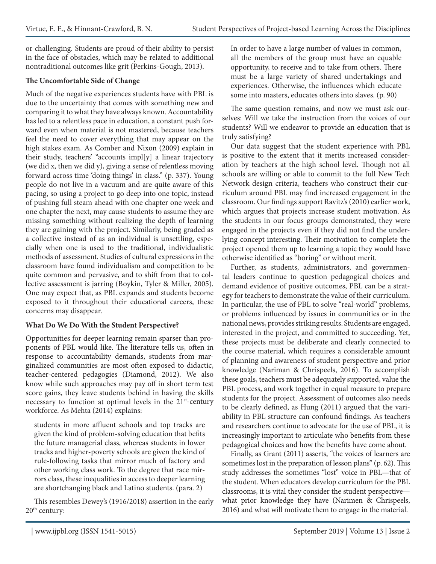or challenging. Students are proud of their ability to persist in the face of obstacles, which may be related to additional nontraditional outcomes like grit (Perkins-Gough, 2013).

#### **The Uncomfortable Side of Change**

Much of the negative experiences students have with PBL is due to the uncertainty that comes with something new and comparing it to what they have always known. Accountability has led to a relentless pace in education, a constant push forward even when material is not mastered, because teachers feel the need to cover everything that may appear on the high stakes exam. As Comber and Nixon (2009) explain in their study, teachers' "accounts impl[y] a linear trajectory (we did x, then we did y), giving a sense of relentless moving forward across time 'doing things' in class." (p. 337). Young people do not live in a vacuum and are quite aware of this pacing, so using a project to go deep into one topic, instead of pushing full steam ahead with one chapter one week and one chapter the next, may cause students to assume they are missing something without realizing the depth of learning they are gaining with the project. Similarly, being graded as a collective instead of as an individual is unsettling, especially when one is used to the traditional, individualistic methods of assessment. Studies of cultural expressions in the classroom have found individualism and competition to be quite common and pervasive, and to shift from that to collective assessment is jarring (Boykin, Tyler & Miller, 2005). One may expect that, as PBL expands and students become exposed to it throughout their educational careers, these concerns may disappear.

#### **What Do We Do With the Student Perspective?**

Opportunities for deeper learning remain sparser than proponents of PBL would like. The literature tells us, often in response to accountability demands, students from marginalized communities are most often exposed to didactic, teacher-centered pedagogies (Diamond, 2012). We also know while such approaches may pay off in short term test score gains, they leave students behind in having the skills necessary to function at optimal levels in the  $21<sup>st</sup>$ -century workforce. As Mehta (2014) explains:

students in more affluent schools and top tracks are given the kind of problem-solving education that befits the future managerial class, whereas students in lower tracks and higher-poverty schools are given the kind of rule-following tasks that mirror much of factory and other working class work. To the degree that race mirrors class, these inequalities in access to deeper learning are shortchanging black and Latino students. (para. 2)

This resembles Dewey's (1916/2018) assertion in the early 20th century:

In order to have a large number of values in common, all the members of the group must have an equable opportunity, to receive and to take from others. There must be a large variety of shared undertakings and experiences. Otherwise, the influences which educate some into masters, educates others into slaves. (p. 90)

The same question remains, and now we must ask ourselves: Will we take the instruction from the voices of our students? Will we endeavor to provide an education that is truly satisfying?

Our data suggest that the student experience with PBL is positive to the extent that it merits increased consideration by teachers at the high school level. Though not all schools are willing or able to commit to the full New Tech Network design criteria, teachers who construct their curriculum around PBL may find increased engagement in the classroom. Our findings support Ravitz's (2010) earlier work, which argues that projects increase student motivation. As the students in our focus groups demonstrated, they were engaged in the projects even if they did not find the underlying concept interesting. Their motivation to complete the project opened them up to learning a topic they would have otherwise identified as "boring" or without merit.

Further, as students, administrators, and governmental leaders continue to question pedagogical choices and demand evidence of positive outcomes, PBL can be a strategy for teachers to demonstrate the value of their curriculum. In particular, the use of PBL to solve "real-world" problems, or problems influenced by issues in communities or in the national news, provides striking results. Students are engaged, interested in the project, and committed to succeeding. Yet, these projects must be deliberate and clearly connected to the course material, which requires a considerable amount of planning and awareness of student perspective and prior knowledge (Nariman & Chrispeels, 2016). To accomplish these goals, teachers must be adequately supported, value the PBL process, and work together in equal measure to prepare students for the project. Assessment of outcomes also needs to be clearly defined, as Hung (2011) argued that the variability in PBL structure can confound findings. As teachers and researchers continue to advocate for the use of PBL, it is increasingly important to articulate who benefits from these pedagogical choices and how the benefits have come about.

Finally, as Grant (2011) asserts, "the voices of learners are sometimes lost in the preparation of lesson plans" (p. 62). This study addresses the sometimes "lost" voice in PBL—that of the student. When educators develop curriculum for the PBL classrooms, it is vital they consider the student perspective what prior knowledge they have (Narimen & Chrispeels, 2016) and what will motivate them to engage in the material.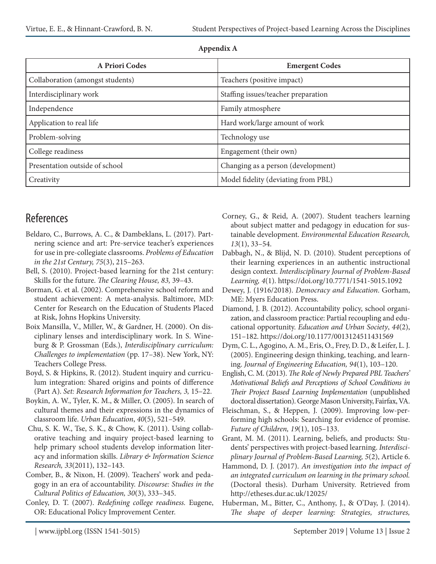| A Priori Codes                   | <b>Emergent Codes</b>               |
|----------------------------------|-------------------------------------|
| Collaboration (amongst students) | Teachers (positive impact)          |
| Interdisciplinary work           | Staffing issues/teacher preparation |
| Independence                     | Family atmosphere                   |
| Application to real life         | Hard work/large amount of work      |
| Problem-solving                  | Technology use                      |
| College readiness                | Engagement (their own)              |
| Presentation outside of school   | Changing as a person (development)  |
| Creativity                       | Model fidelity (deviating from PBL) |

#### **Appendix A**

### References

- Beldaro, C., Burrows, A. C., & Dambeklans, L. (2017). Partnering science and art: Pre-service teacher's experiences for use in pre-collegiate classrooms. *Problems of Education in the 21st Century, 75*(3), 215–263.
- Bell, S. (2010). Project-based learning for the 21st century: Skills for the future. *The Clearing House, 83,* 39–43.
- Borman, G. et al. (2002). Comprehensive school reform and student achievement: A meta-analysis. Baltimore, MD: Center for Research on the Education of Students Placed at Risk, Johns Hopkins University.
- Boix Mansilla, V., Miller, W., & Gardner, H. (2000). On disciplinary lenses and interdisciplinary work. In S. Wineburg & P. Grossman (Eds.), *Interdisciplinary curriculum: Challenges to implementation* (pp. 17–38). New York, NY: Teachers College Press.
- Boyd, S. & Hipkins, R. (2012). Student inquiry and curriculum integration: Shared origins and points of difference (Part A). *Set: Research Information for Teachers, 3,* 15–22.
- Boykin, A. W., Tyler, K. M., & Miller, O. (2005). In search of cultural themes and their expressions in the dynamics of classroom life. *Urban Education*, *40*(5), 521–549.
- Chu, S. K. W., Tse, S. K., & Chow, K. (2011). Using collaborative teaching and inquiry project-based learning to help primary school students develop information literacy and information skills. *Library & Information Science Research, 33*(2011), 132–143.
- Comber, B., & Nixon, H. (2009). Teachers' work and pedagogy in an era of accountability. *Discourse: Studies in the Cultural Politics of Education, 30*(3), 333–345.
- Conley, D. T. (2007). *Redefining college readiness.* Eugene, OR: Educational Policy Improvement Center.
- Corney, G., & Reid, A. (2007). Student teachers learning about subject matter and pedagogy in education for sustainable development. *Environmental Education Research, 13*(1), 33–54.
- Dabbagh, N., & Blijd, N. D. (2010). Student perceptions of their learning experiences in an authentic instructional design context. *Interdisciplinary Journal of Problem-Based Learning, 4*(1). https://doi.org/10.7771/1541-5015.1092
- Dewey, J. (1916/2018). *Democracy and Education*. Gorham, ME: Myers Education Press.
- Diamond, J. B. (2012). Accountability policy, school organization, and classroom practice: Partial recoupling and educational opportunity. *Education and Urban Society*, *44*(2), 151–182. https://doi.org/10.1177/0013124511431569
- Dym, C. L., Agogino, A. M., Eris, O., Frey, D. D., & Leifer, L. J. (2005). Engineering design thinking, teaching, and learning. *Journal of Engineering Education, 94*(1), 103–120.
- English, C. M. (2013). *The Role of Newly Prepared PBL Teachers' Motivational Beliefs and Perceptions of School Conditions in Their Project Based Learning Implementation* (unpublished doctoral dissertation). George Mason University, Fairfax, VA.
- Fleischman, S., & Heppen, J. (2009). Improving low-performing high schools: Searching for evidence of promise. *Future of Children, 19*(1), 105–133.
- Grant, M. M. (2011). Learning, beliefs, and products: Students' perspectives with project-based learning. *Interdisciplinary Journal of Problem-Based Learning, 5*(2), Article 6.
- Hammond, D. J. (2017). *An investigation into the impact of an integrated curriculum on learning in the primary school.* (Doctoral thesis). Durham University. Retrieved from http://etheses.dur.ac.uk/12025/
- Huberman, M., Bitter, C., Anthony, J., & O'Day, J. (2014). *The shape of deeper learning: Strategies, structures,*